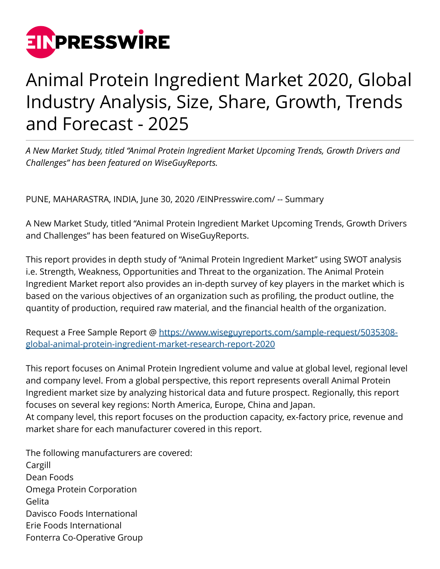

## Animal Protein Ingredient Market 2020, Global Industry Analysis, Size, Share, Growth, Trends and Forecast - 2025

*A New Market Study, titled "Animal Protein Ingredient Market Upcoming Trends, Growth Drivers and Challenges" has been featured on WiseGuyReports.*

PUNE, MAHARASTRA, INDIA, June 30, 2020 [/EINPresswire.com](http://www.einpresswire.com)/ -- Summary

A New Market Study, titled "Animal Protein Ingredient Market Upcoming Trends, Growth Drivers and Challenges" has been featured on WiseGuyReports.

This report provides in depth study of "Animal Protein Ingredient Market" using SWOT analysis i.e. Strength, Weakness, Opportunities and Threat to the organization. The Animal Protein Ingredient Market report also provides an in-depth survey of key players in the market which is based on the various objectives of an organization such as profiling, the product outline, the quantity of production, required raw material, and the financial health of the organization.

Request a Free Sample Report @ [https://www.wiseguyreports.com/sample-request/5035308](https://www.wiseguyreports.com/sample-request/5035308-global-animal-protein-ingredient-market-research-report-2020) [global-animal-protein-ingredient-market-research-report-2020](https://www.wiseguyreports.com/sample-request/5035308-global-animal-protein-ingredient-market-research-report-2020)

This report focuses on Animal Protein Ingredient volume and value at global level, regional level and company level. From a global perspective, this report represents overall Animal Protein Ingredient market size by analyzing historical data and future prospect. Regionally, this report focuses on several key regions: North America, Europe, China and Japan. At company level, this report focuses on the production capacity, ex-factory price, revenue and market share for each manufacturer covered in this report.

The following manufacturers are covered: Cargill Dean Foods Omega Protein Corporation Gelita Davisco Foods International Erie Foods International Fonterra Co-Operative Group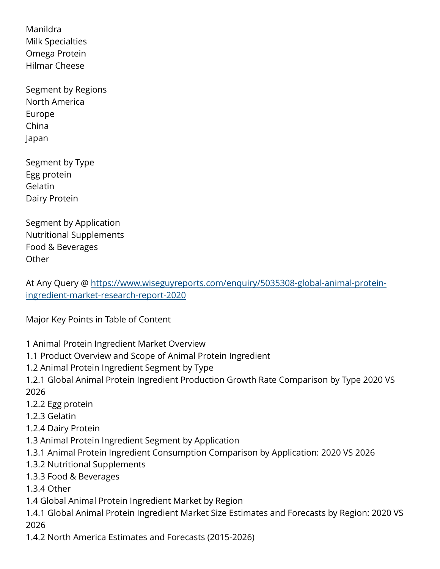Manildra Milk Specialties Omega Protein Hilmar Cheese

Segment by Regions North America Europe China Japan

Segment by Type Egg protein Gelatin Dairy Protein

Segment by Application Nutritional Supplements Food & Beverages **Other** 

At Any Query @ [https://www.wiseguyreports.com/enquiry/5035308-global-animal-protein](https://www.wiseguyreports.com/enquiry/5035308-global-animal-protein-ingredient-market-research-report-2020)[ingredient-market-research-report-2020](https://www.wiseguyreports.com/enquiry/5035308-global-animal-protein-ingredient-market-research-report-2020)

Major Key Points in Table of Content

- 1 Animal Protein Ingredient Market Overview
- 1.1 Product Overview and Scope of Animal Protein Ingredient
- 1.2 Animal Protein Ingredient Segment by Type
- 1.2.1 Global Animal Protein Ingredient Production Growth Rate Comparison by Type 2020 VS 2026
- 1.2.2 Egg protein
- 1.2.3 Gelatin
- 1.2.4 Dairy Protein
- 1.3 Animal Protein Ingredient Segment by Application
- 1.3.1 Animal Protein Ingredient Consumption Comparison by Application: 2020 VS 2026
- 1.3.2 Nutritional Supplements
- 1.3.3 Food & Beverages
- 1.3.4 Other
- 1.4 Global Animal Protein Ingredient Market by Region
- 1.4.1 Global Animal Protein Ingredient Market Size Estimates and Forecasts by Region: 2020 VS 2026
- 1.4.2 North America Estimates and Forecasts (2015-2026)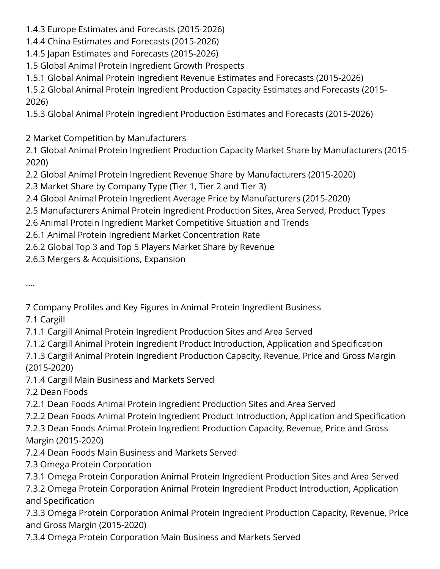- 1.4.3 Europe Estimates and Forecasts (2015-2026)
- 1.4.4 China Estimates and Forecasts (2015-2026)
- 1.4.5 Japan Estimates and Forecasts (2015-2026)
- 1.5 Global Animal Protein Ingredient Growth Prospects
- 1.5.1 Global Animal Protein Ingredient Revenue Estimates and Forecasts (2015-2026)

1.5.2 Global Animal Protein Ingredient Production Capacity Estimates and Forecasts (2015- 2026)

1.5.3 Global Animal Protein Ingredient Production Estimates and Forecasts (2015-2026)

2 Market Competition by Manufacturers

2.1 Global Animal Protein Ingredient Production Capacity Market Share by Manufacturers (2015- 2020)

2.2 Global Animal Protein Ingredient Revenue Share by Manufacturers (2015-2020)

2.3 Market Share by Company Type (Tier 1, Tier 2 and Tier 3)

2.4 Global Animal Protein Ingredient Average Price by Manufacturers (2015-2020)

- 2.5 Manufacturers Animal Protein Ingredient Production Sites, Area Served, Product Types
- 2.6 Animal Protein Ingredient Market Competitive Situation and Trends
- 2.6.1 Animal Protein Ingredient Market Concentration Rate
- 2.6.2 Global Top 3 and Top 5 Players Market Share by Revenue

2.6.3 Mergers & Acquisitions, Expansion

….

7 Company Profiles and Key Figures in Animal Protein Ingredient Business

7.1 Cargill

- 7.1.1 Cargill Animal Protein Ingredient Production Sites and Area Served
- 7.1.2 Cargill Animal Protein Ingredient Product Introduction, Application and Specification

7.1.3 Cargill Animal Protein Ingredient Production Capacity, Revenue, Price and Gross Margin (2015-2020)

7.1.4 Cargill Main Business and Markets Served

7.2 Dean Foods

7.2.1 Dean Foods Animal Protein Ingredient Production Sites and Area Served

7.2.2 Dean Foods Animal Protein Ingredient Product Introduction, Application and Specification

7.2.3 Dean Foods Animal Protein Ingredient Production Capacity, Revenue, Price and Gross Margin (2015-2020)

- 7.2.4 Dean Foods Main Business and Markets Served
- 7.3 Omega Protein Corporation
- 7.3.1 Omega Protein Corporation Animal Protein Ingredient Production Sites and Area Served

7.3.2 Omega Protein Corporation Animal Protein Ingredient Product Introduction, Application and Specification

7.3.3 Omega Protein Corporation Animal Protein Ingredient Production Capacity, Revenue, Price and Gross Margin (2015-2020)

7.3.4 Omega Protein Corporation Main Business and Markets Served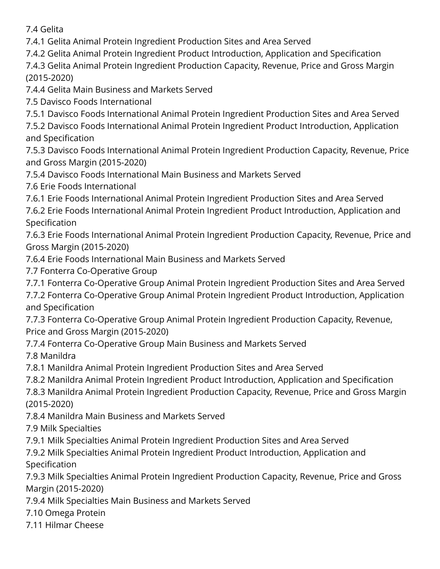7.4 Gelita

7.4.1 Gelita Animal Protein Ingredient Production Sites and Area Served

7.4.2 Gelita Animal Protein Ingredient Product Introduction, Application and Specification

7.4.3 Gelita Animal Protein Ingredient Production Capacity, Revenue, Price and Gross Margin (2015-2020)

7.4.4 Gelita Main Business and Markets Served

7.5 Davisco Foods International

7.5.1 Davisco Foods International Animal Protein Ingredient Production Sites and Area Served

7.5.2 Davisco Foods International Animal Protein Ingredient Product Introduction, Application and Specification

7.5.3 Davisco Foods International Animal Protein Ingredient Production Capacity, Revenue, Price and Gross Margin (2015-2020)

7.5.4 Davisco Foods International Main Business and Markets Served

7.6 Erie Foods International

7.6.1 Erie Foods International Animal Protein Ingredient Production Sites and Area Served

7.6.2 Erie Foods International Animal Protein Ingredient Product Introduction, Application and Specification

7.6.3 Erie Foods International Animal Protein Ingredient Production Capacity, Revenue, Price and Gross Margin (2015-2020)

7.6.4 Erie Foods International Main Business and Markets Served

7.7 Fonterra Co-Operative Group

7.7.1 Fonterra Co-Operative Group Animal Protein Ingredient Production Sites and Area Served

7.7.2 Fonterra Co-Operative Group Animal Protein Ingredient Product Introduction, Application and Specification

7.7.3 Fonterra Co-Operative Group Animal Protein Ingredient Production Capacity, Revenue, Price and Gross Margin (2015-2020)

7.7.4 Fonterra Co-Operative Group Main Business and Markets Served

7.8 Manildra

7.8.1 Manildra Animal Protein Ingredient Production Sites and Area Served

7.8.2 Manildra Animal Protein Ingredient Product Introduction, Application and Specification

7.8.3 Manildra Animal Protein Ingredient Production Capacity, Revenue, Price and Gross Margin (2015-2020)

7.8.4 Manildra Main Business and Markets Served

7.9 Milk Specialties

7.9.1 Milk Specialties Animal Protein Ingredient Production Sites and Area Served

7.9.2 Milk Specialties Animal Protein Ingredient Product Introduction, Application and Specification

7.9.3 Milk Specialties Animal Protein Ingredient Production Capacity, Revenue, Price and Gross Margin (2015-2020)

7.9.4 Milk Specialties Main Business and Markets Served

7.10 Omega Protein

7.11 Hilmar Cheese